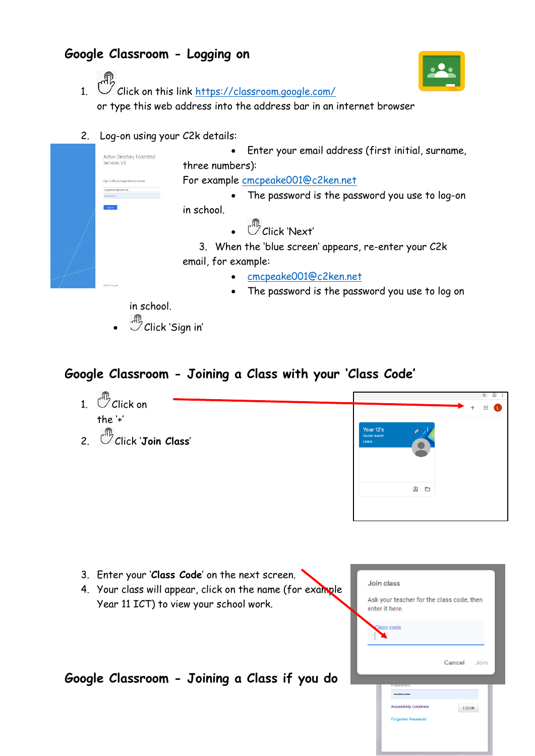## **Google Classroom - Logging on**



- 1. C Click on this link <https://classroom.google.com/> or type this web address into the address bar in an internet browser
- 2. Log-on using your C2k details:



in school.

Click 'Sign in'

## **Google Classroom - Joining a Class with your 'Class Code'**



| 3. Enter your 'Class Code' on the next screen.<br>4. Your class will appear, click on the name (for example<br>Year 11 ICT) to view your school work. | Join class<br>Ask your teacher for the class code, then<br>enter it here.                    |
|-------------------------------------------------------------------------------------------------------------------------------------------------------|----------------------------------------------------------------------------------------------|
|                                                                                                                                                       | Class code<br>Cancel<br>Join                                                                 |
| Google Classroom - Joining a Class if you do                                                                                                          | assworu.<br><br><b>Accessibility Guidelines</b><br><b>LOGIN</b><br><b>Forgotten Password</b> |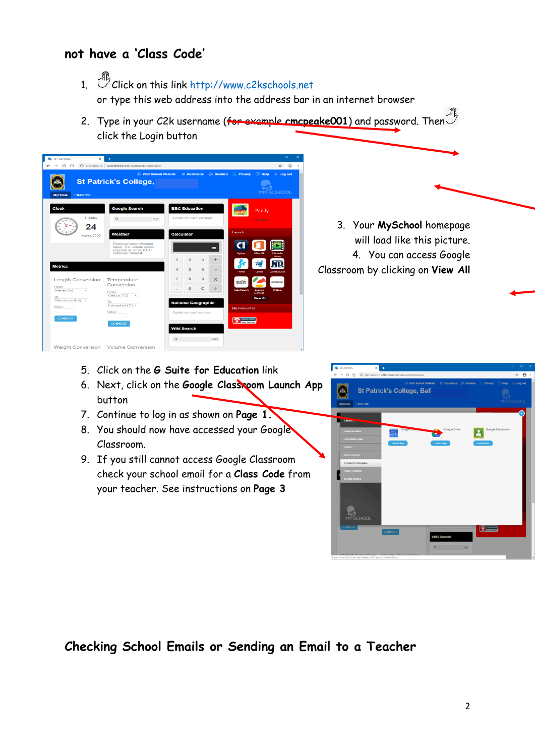## **not have a 'Class Code'**

- 1. Chick on this link [http://www.c2kschools.net](http://www.c2kschools.net/) or type this web address into the address bar in an internet browser
- 2. Type in your C2k username (for example cmcpeake001) and password. Then<sup>ch</sup> click the Login button



- 5. Click on the **G Suite for Education** link
- 6. Next, click on the **Google Classroom Launch App** button
- 7. Continue to log in as shown on **Page 1.**
- 8. You should now have accessed your Google Classroom.
- 9. If you still cannot access Google Classroom check your school email for a **Class Code** from your teacher. See instructions on **Page 3**



**Checking School Emails or Sending an Email to a Teacher**